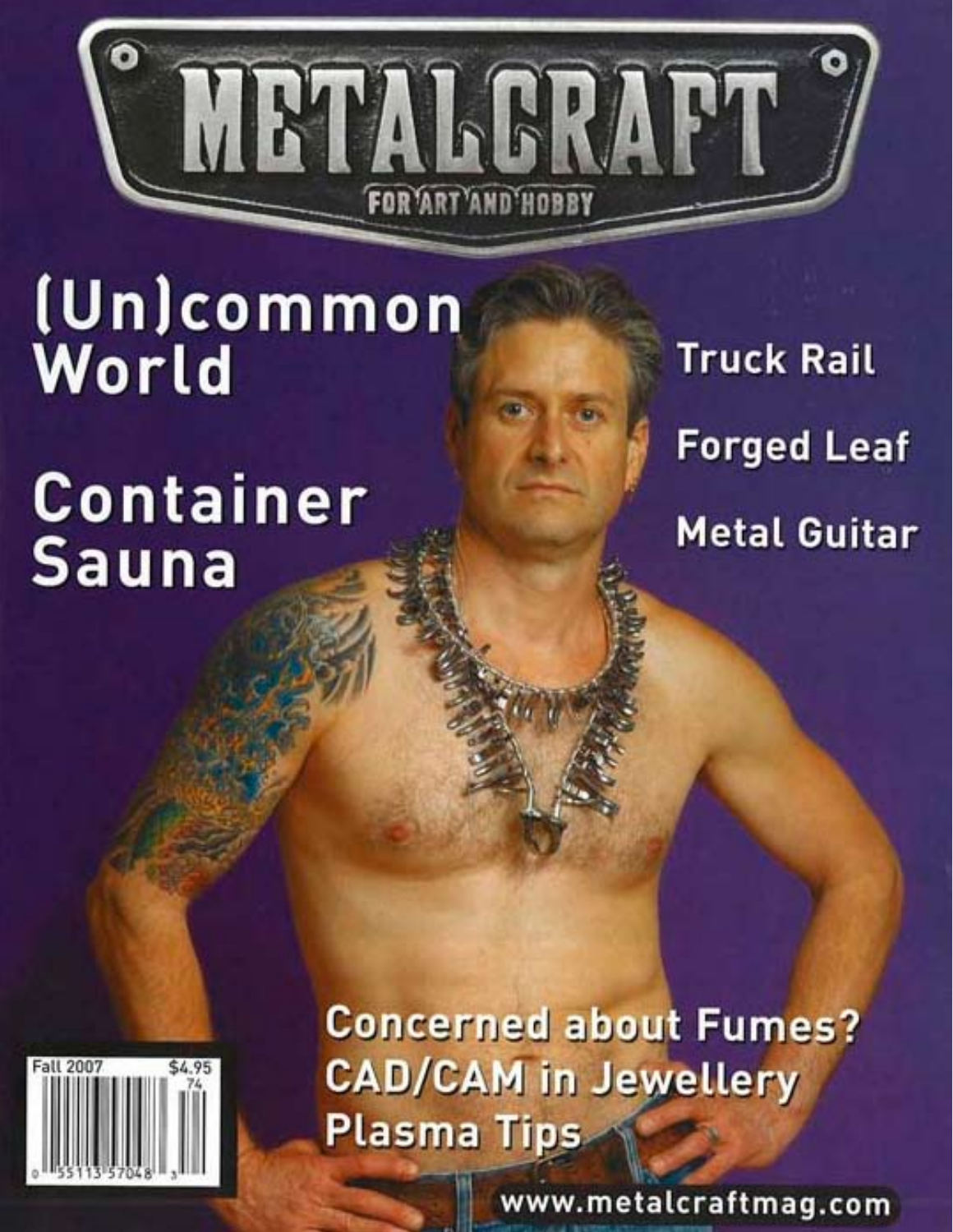

# (Un)common World

# Container **Sauna**

**Truck Rail Forged Leaf Metal Guitar** 

Fall 2007

**Concerned about Fumes? CAD/CAM in Jewellery Plasma Tips** 

www.metalcraftmag.com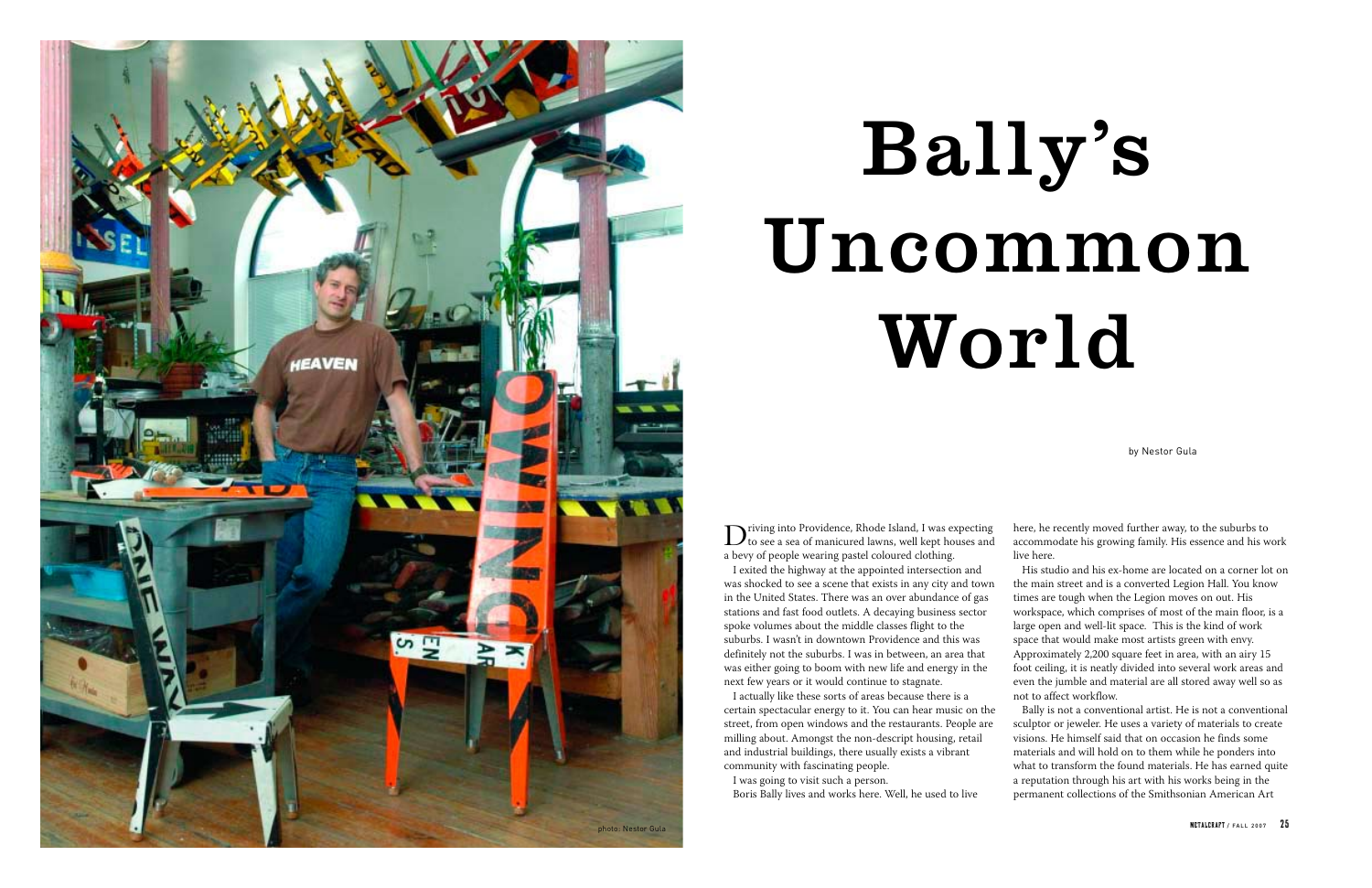by Nestor Gula



Driving into Providence, Rhode Island, I was expecting to see a sea of manicured lawns, well kept houses and a bevy of people wearing pastel coloured clothing. I exited the highway at the appointed intersection and was shocked to see a scene that exists in any city and town in the United States. There was an over abundance of gas stations and fast food outlets. A decaying business sector spoke volumes about the middle classes flight to the suburbs. I wasn't in downtown Providence and this was definitely not the suburbs. I was in between, an area that was either going to boom with new life and energy in the next few years or it would continue to stagnate.

I actually like these sorts of areas because there is a certain spectacular energy to it. You can hear music on the street, from open windows and the restaurants. People are milling about. Amongst the non-descript housing, retail and industrial buildings, there usually exists a vibrant community with fascinating people.

I was going to visit such a person.

Boris Bally lives and works here. Well, he used to live

here, he recently moved further away, to the suburbs to accommodate his growing family. His essence and his work live here.

His studio and his ex-home are located on a corner lot on the main street and is a converted Legion Hall. You know times are tough when the Legion moves on out. His workspace, which comprises of most of the main floor, is a large open and well-lit space. This is the kind of work space that would make most artists green with envy. Approximately 2,200 square feet in area, with an airy 15 foot ceiling, it is neatly divided into several work areas and even the jumble and material are all stored away well so as not to affect workflow.

Bally is not a conventional artist. He is not a conventional sculptor or jeweler. He uses a variety of materials to create visions. He himself said that on occasion he finds some materials and will hold on to them while he ponders into what to transform the found materials. He has earned quite a reputation through his art with his works being in the permanent collections of the Smithsonian American Art

# Bally's Uncommon World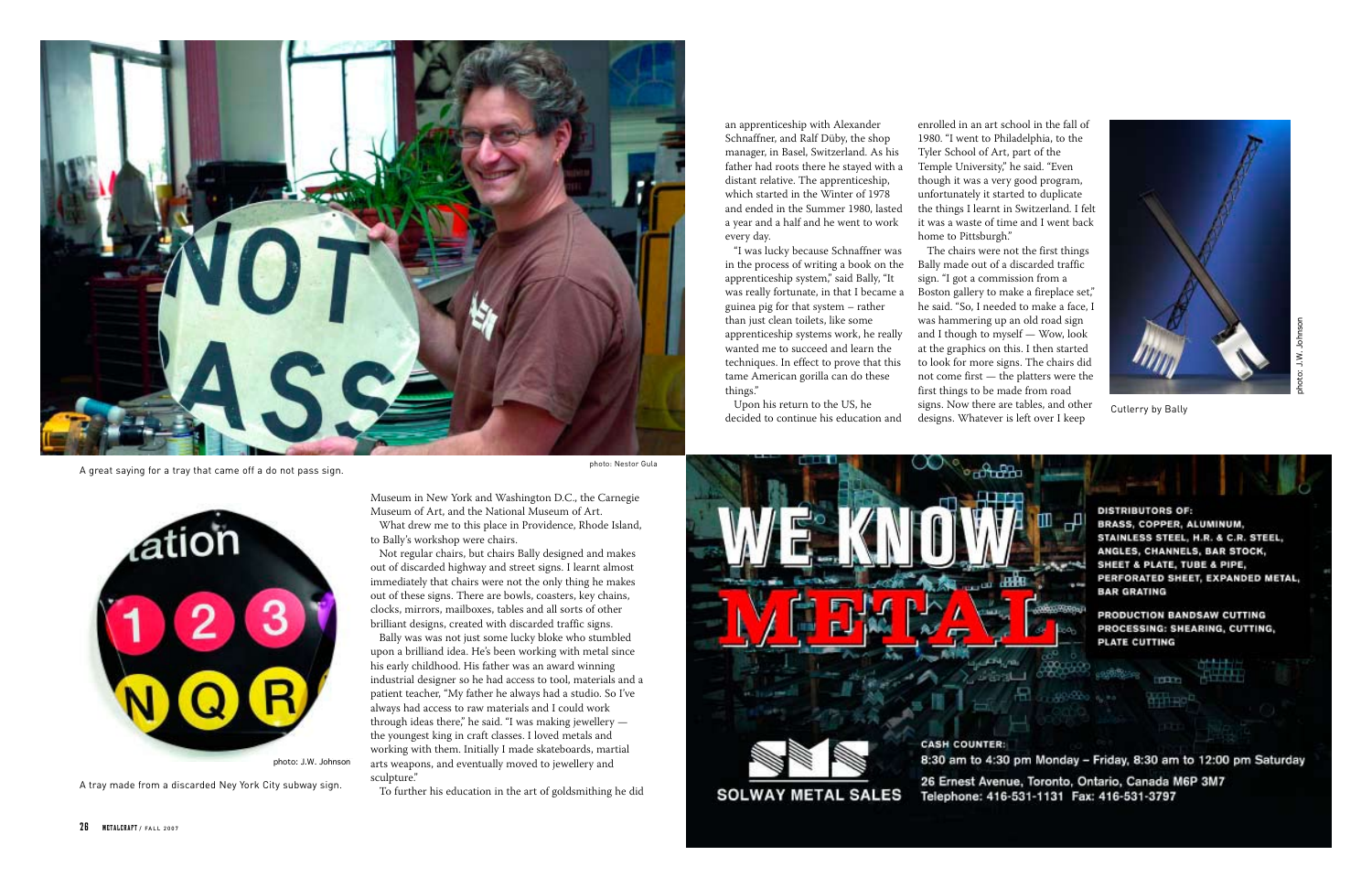

A great saying for a tray that came off a do not pass sign.



photo: J.W. Johnson

A tray made from a discarded Ney York City subway sign.

Museum in New York and Washington D.C., the Carnegie Museum of Art, and the National Museum of Art.

What drew me to this place in Providence, Rhode Island, to Bally's workshop were chairs.

Not regular chairs, but chairs Bally designed and makes out of discarded highway and street signs. I learnt almost immediately that chairs were not the only thing he makes out of these signs. There are bowls, coasters, key chains, clocks, mirrors, mailboxes, tables and all sorts of other brilliant designs, created with discarded traffic signs.

Bally was was not just some lucky bloke who stumbled upon a brilliand idea. He's been working with metal since his early childhood. His father was an award winning industrial designer so he had access to tool, materials and a patient teacher, "My father he always had a studio. So I've always had access to raw materials and I could work through ideas there," he said. "I was making jewellery the youngest king in craft classes. I loved metals and working with them. Initially I made skateboards, martial arts weapons, and eventually moved to jewellery and sculpture."

The chairs were not the first things Bally made out of a discarded traffic sign. "I got a commission from a Boston gallery to make a fireplace set," he said. "So, I needed to make a face, I was hammering up an old road sign and I though to myself — Wow, look at the graphics on this. I then started to look for more signs. The chairs did not come first — the platters were the first things to be made from road signs. Now there are tables, and other signs. Now there are tables, and other cutlerry by Bally designs. Whatever is left over I keep





To further his education in the art of goldsmithing he did

an apprenticeship with Alexander Schnaffner, and Ralf Düby, the shop manager, in Basel, Switzerland. As his father had roots there he stayed with a distant relative. The apprenticeship, which started in the Winter of 1978 and ended in the Summer 1980, lasted a year and a half and he went to work every day.

> photo: J.W. Johnson photo: J.W. Johnson

"I was lucky because Schnaffner was in the process of writing a book on the apprenticeship system," said Bally, "It was really fortunate, in that I became a guinea pig for that system – rather than just clean toilets, like some apprenticeship systems work, he really wanted me to succeed and learn the techniques. In effect to prove that this tame American gorilla can do these things."

Upon his return to the US, he decided to continue his education and

enrolled in an art school in the fall of 1980. "I went to Philadelphia, to the Tyler School of Art, part of the Temple University," he said. "Even though it was a very good program, unfortunately it started to duplicate the things I learnt in Switzerland. I felt it was a waste of time and I went back home to Pittsburgh."

photo: Nestor Gula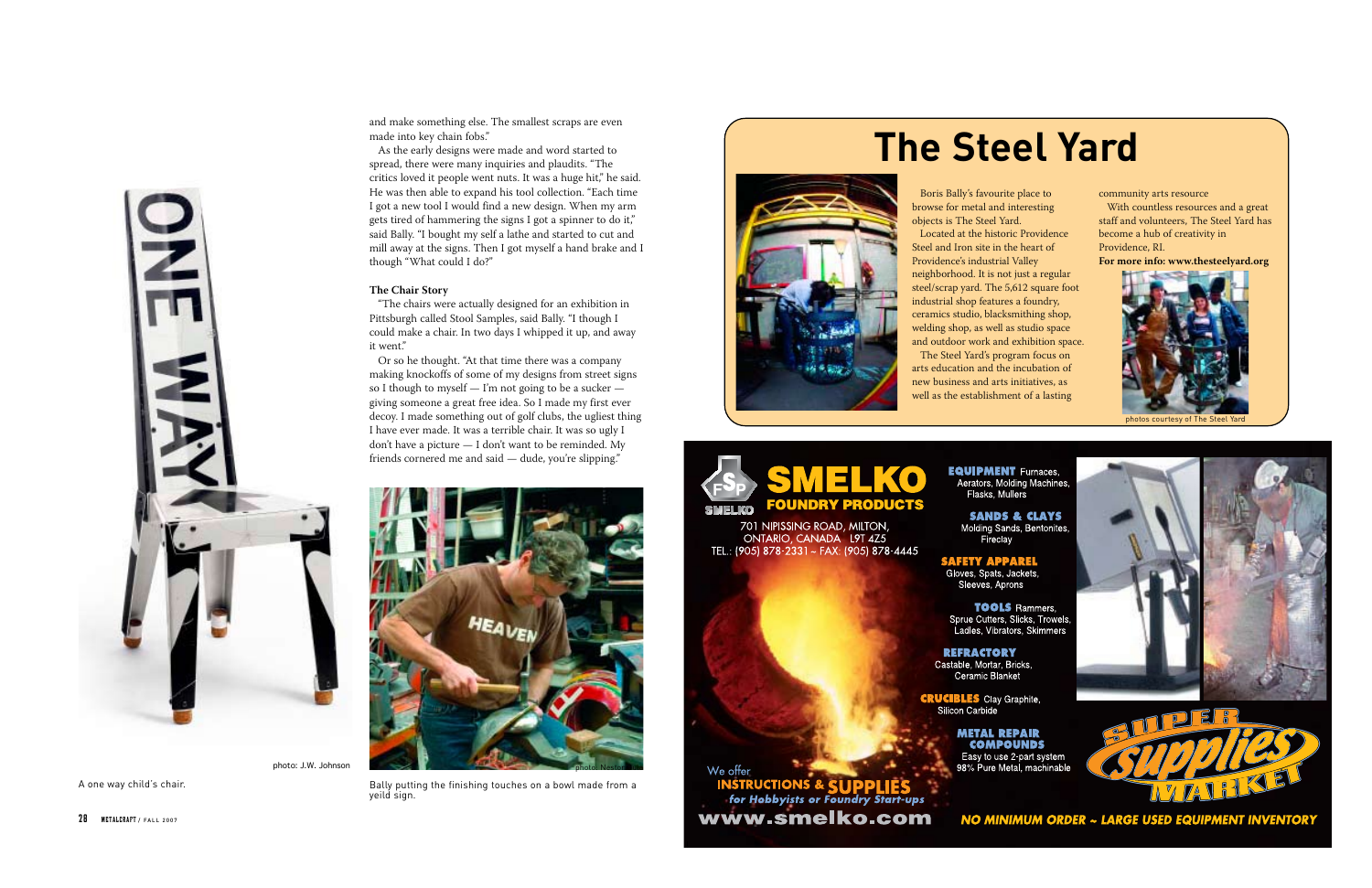

A one way child's chair.

and make something else. The smallest scraps are even made into key chain fobs."

As the early designs were made and word started to spread, there were many inquiries and plaudits. "The critics loved it people went nuts. It was a huge hit," he said. He was then able to expand his tool collection. "Each time I got a new tool I would find a new design. When my arm gets tired of hammering the signs I got a spinner to do it," said Bally. "I bought my self a lathe and started to cut and mill away at the signs. Then I got myself a hand brake and I though "What could I do?"

#### **The Chair Story**

"The chairs were actually designed for an exhibition in Pittsburgh called Stool Samples, said Bally. "I though I could make a chair. In two days I whipped it up, and away it went."

Or so he thought. "At that time there was a company making knockoffs of some of my designs from street signs so I though to myself — I'm not going to be a sucker giving someone a great free idea. So I made my first ever decoy. I made something out of golf clubs, the ugliest thing I have ever made. It was a terrible chair. It was so ugly I don't have a picture — I don't want to be reminded. My friends cornered me and said — dude, you're slipping."

Boris Bally's favourite place to browse for metal and interesting objects is The Steel Yard. Located at the historic Providence Steel and Iron site in the heart of Providence's industrial Valley neighborhood. It is not just a regular steel/scrap yard. The 5,612 square foot industrial shop features a foundry, ceramics studio, blacksmithing shop, welding shop, as well as studio space and outdoor work and exhibition space. The Steel Yard's program focus on arts education and the incubation of new business and arts initiatives, as well as the establishment of a lasting



701 NIPISSING ROAD, MILTON,<br>ONTARIO, CANADA L9T 4Z5<br>TEL.: (905) 878-2331 ~ FAX: (905) 878-4445

Fireclay

### **SAFETY APPAREL**<br>Gloves, Spats, Jackets,

Sleeves, Aprons

**TOOLS** Rammers, Sprue Cutters, Slicks, Trowels Ladles, Vibrators, Skimmers

**REFRACTORY** Castable, Mortar, Bricks, Ceramic Blanket

**CRUCIBLES** Clay Graphite, Silicon Carbide

> **METAL REPAIR COMPOUNDS** 98% Pure Metal, machinable

#### We offer **INSTRUCTIONS & SUPPLIES**<br>for Hobbyists or Foundry Start-ups www.smelko.com

28 METALCRAFT / FALL 2007



Bally putting the finishing touches on a bowl made from a yeild sign.

community arts resource With countless resources and a great staff and volunteers, The Steel Yard has become a hub of creativity in Providence, RI.

**For more info: www.thesteelyard.org**

## **The Steel Yard**





photos courtesy of The Steel Yard

**EQUIPMENT** Furnaces, Aerators, Molding Machines, Flasks, Mullers

**SANDS & CLAYS** Molding Sands, Bentonites







NO MINIMUM ORDER ~ LARGE USED EQUIPMENT INVENTORY